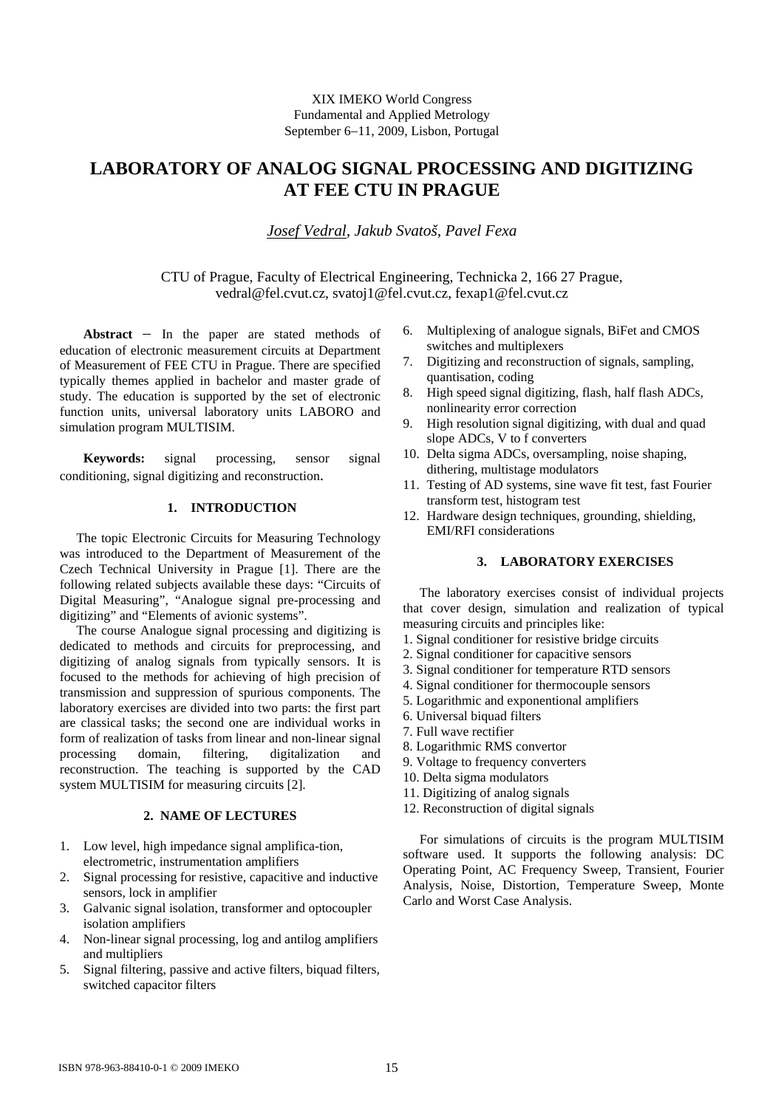# XIX IMEKO World Congress Fundamental and Applied Metrology September 6−11, 2009, Lisbon, Portugal

# **LABORATORY OF ANALOG SIGNAL PROCESSING AND DIGITIZING AT FEE CTU IN PRAGUE**

*Josef Vedral, Jakub Svatoš, Pavel Fexa* 

CTU of Prague, Faculty of Electrical Engineering, Technicka 2, 166 27 Prague, vedral@fel.cvut.cz, svatoj1@fel.cvut.cz, fexap1@fel.cvut.cz

**Abstract** − In the paper are stated methods of education of electronic measurement circuits at Department of Measurement of FEE CTU in Prague. There are specified typically themes applied in bachelor and master grade of study. The education is supported by the set of electronic function units, universal laboratory units LABORO and simulation program MULTISIM.

**Keywords:** signal processing, sensor signal conditioning, signal digitizing and reconstruction.

# **1. INTRODUCTION**

 The topic Electronic Circuits for Measuring Technology was introduced to the Department of Measurement of the Czech Technical University in Prague [1]. There are the following related subjects available these days: "Circuits of Digital Measuring", "Analogue signal pre-processing and digitizing" and "Elements of avionic systems".

 The course Analogue signal processing and digitizing is dedicated to methods and circuits for preprocessing, and digitizing of analog signals from typically sensors. It is focused to the methods for achieving of high precision of transmission and suppression of spurious components. The laboratory exercises are divided into two parts: the first part are classical tasks; the second one are individual works in form of realization of tasks from linear and non-linear signal processing domain, filtering, digitalization and reconstruction. The teaching is supported by the CAD system MULTISIM for measuring circuits [2].

### **2. NAME OF LECTURES**

- 1. Low level, high impedance signal amplifica-tion, electrometric, instrumentation amplifiers
- 2. Signal processing for resistive, capacitive and inductive sensors, lock in amplifier
- 3. Galvanic signal isolation, transformer and optocoupler isolation amplifiers
- 4. Non-linear signal processing, log and antilog amplifiers and multipliers
- 5. Signal filtering, passive and active filters, biquad filters, switched capacitor filters
- 6. Multiplexing of analogue signals, BiFet and CMOS switches and multiplexers
- 7. Digitizing and reconstruction of signals, sampling, quantisation, coding
- 8. High speed signal digitizing, flash, half flash ADCs, nonlinearity error correction
- 9. High resolution signal digitizing, with dual and quad slope ADCs, V to f converters
- 10. Delta sigma ADCs, oversampling, noise shaping, dithering, multistage modulators
- 11. Testing of AD systems, sine wave fit test, fast Fourier transform test, histogram test
- 12. Hardware design techniques, grounding, shielding, EMI/RFI considerations

## **3. LABORATORY EXERCISES**

 The laboratory exercises consist of individual projects that cover design, simulation and realization of typical measuring circuits and principles like:

- 1. Signal conditioner for resistive bridge circuits
- 2. Signal conditioner for capacitive sensors
- 3. Signal conditioner for temperature RTD sensors
- 4. Signal conditioner for thermocouple sensors
- 5. Logarithmic and exponentional amplifiers
- 6. Universal biquad filters
- 7. Full wave rectifier
- 8. Logarithmic RMS convertor
- 9. Voltage to frequency converters
- 10. Delta sigma modulators
- 11. Digitizing of analog signals
- 12. Reconstruction of digital signals

 For simulations of circuits is the program MULTISIM software used. It supports the following analysis: DC Operating Point, AC Frequency Sweep, Transient, Fourier Analysis, Noise, Distortion, Temperature Sweep, Monte Carlo and Worst Case Analysis.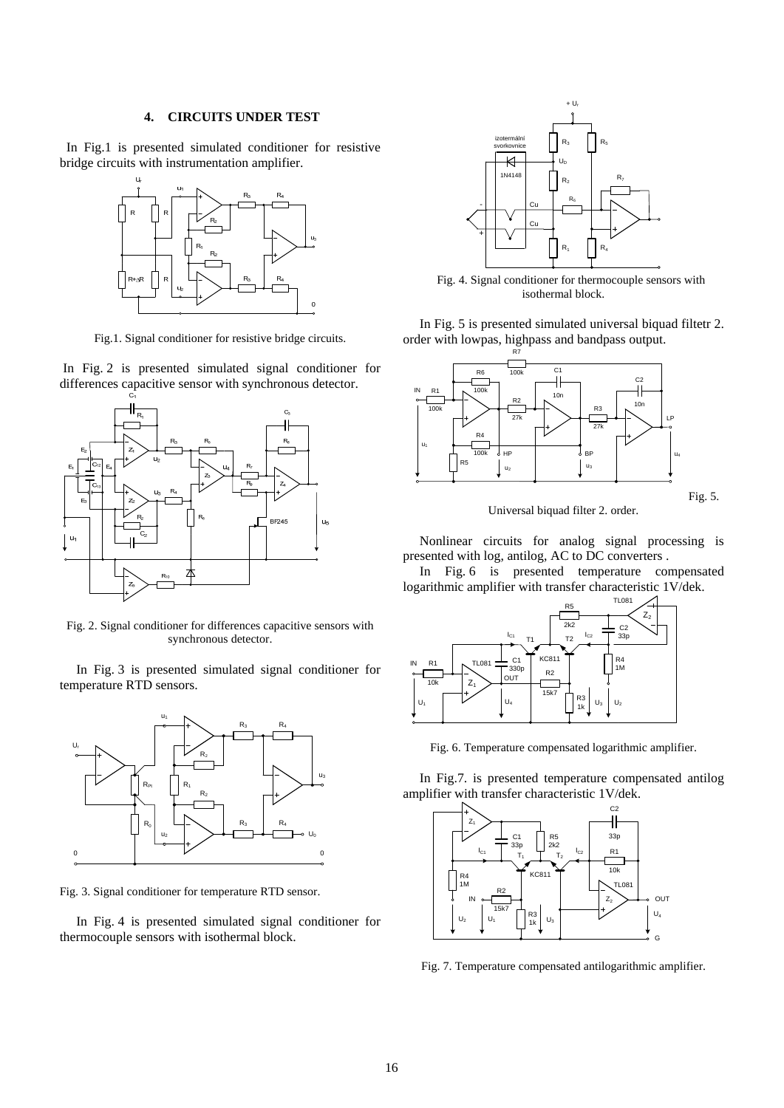#### **4. CIRCUITS UNDER TEST**

 In Fig.1 is presented simulated conditioner for resistive bridge circuits with instrumentation amplifier.



Fig.1. Signal conditioner for resistive bridge circuits.

 In Fig. 2 is presented simulated signal conditioner for differences capacitive sensor with synchronous detector.



Fig. 2. Signal conditioner for differences capacitive sensors with synchronous detector.

 In Fig. 3 is presented simulated signal conditioner for temperature RTD sensors.



Fig. 3. Signal conditioner for temperature RTD sensor.

 In Fig. 4 is presented simulated signal conditioner for thermocouple sensors with isothermal block.



 Fig. 4. Signal conditioner for thermocouple sensors with isothermal block.

 In Fig. 5 is presented simulated universal biquad filtetr 2. order with lowpas, highpass and bandpass output.



Universal biquad filter 2. order.

 Nonlinear circuits for analog signal processing is presented with log, antilog, AC to DC converters .

 In Fig. 6 is presented temperature compensated logarithmic amplifier with transfer characteristic 1V/dek.



Fig. 6. Temperature compensated logarithmic amplifier.

 In Fig.7. is presented temperature compensated antilog amplifier with transfer characteristic 1V/dek.



Fig. 7. Temperature compensated antilogarithmic amplifier.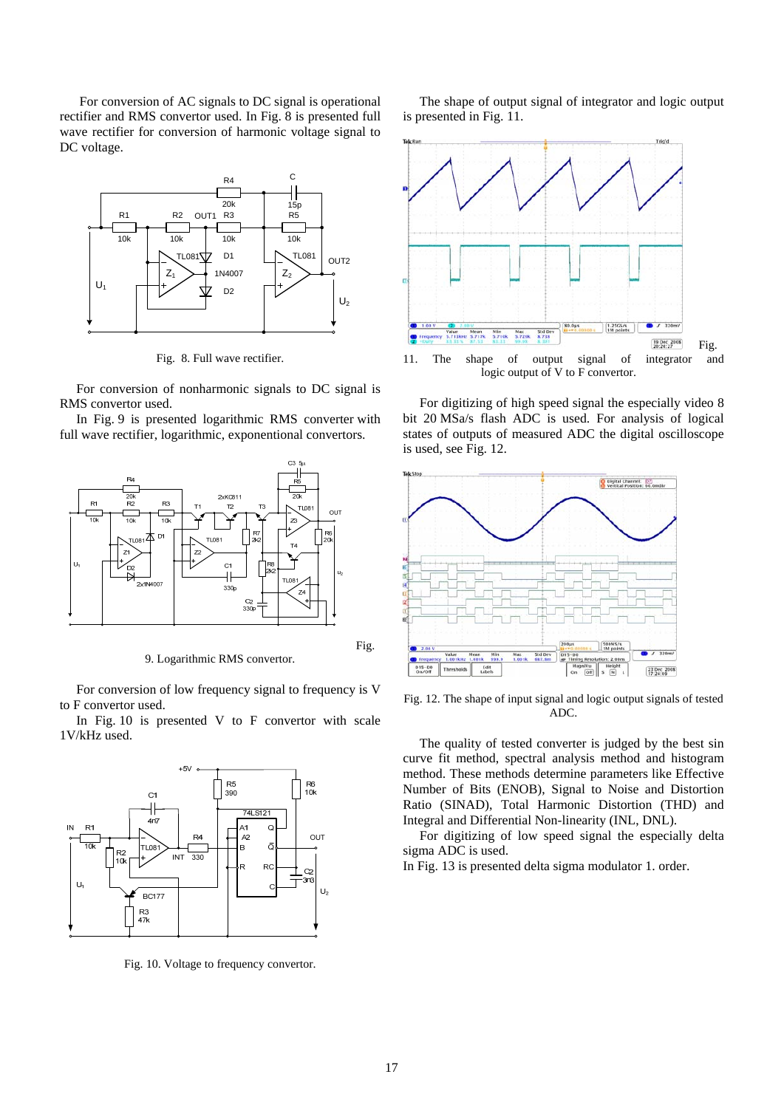For conversion of AC signals to DC signal is operational rectifier and RMS convertor used. In Fig. 8 is presented full wave rectifier for conversion of harmonic voltage signal to DC voltage.



Fig. 8. Full wave rectifier.

 For conversion of nonharmonic signals to DC signal is RMS convertor used.

 In Fig. 9 is presented logarithmic RMS converter with full wave rectifier, logarithmic, exponentional convertors.



9. Logarithmic RMS convertor.

 For conversion of low frequency signal to frequency is V to F convertor used.

In Fig.  $10$  is presented V to F convertor with scale 1V/kHz used.



Fig. 10. Voltage to frequency convertor.

 The shape of output signal of integrator and logic output is presented in Fig. 11.



 For digitizing of high speed signal the especially video 8 bit 20 MSa/s flash ADC is used. For analysis of logical states of outputs of measured ADC the digital oscilloscope is used, see Fig. 12.



Fig. 12. The shape of input signal and logic output signals of tested ADC.

 The quality of tested converter is judged by the best sin curve fit method, spectral analysis method and histogram method. These methods determine parameters like Effective Number of Bits (ENOB), Signal to Noise and Distortion Ratio (SINAD), Total Harmonic Distortion (THD) and Integral and Differential Non-linearity (INL, DNL).

 For digitizing of low speed signal the especially delta sigma ADC is used.

In Fig. 13 is presented delta sigma modulator 1. order.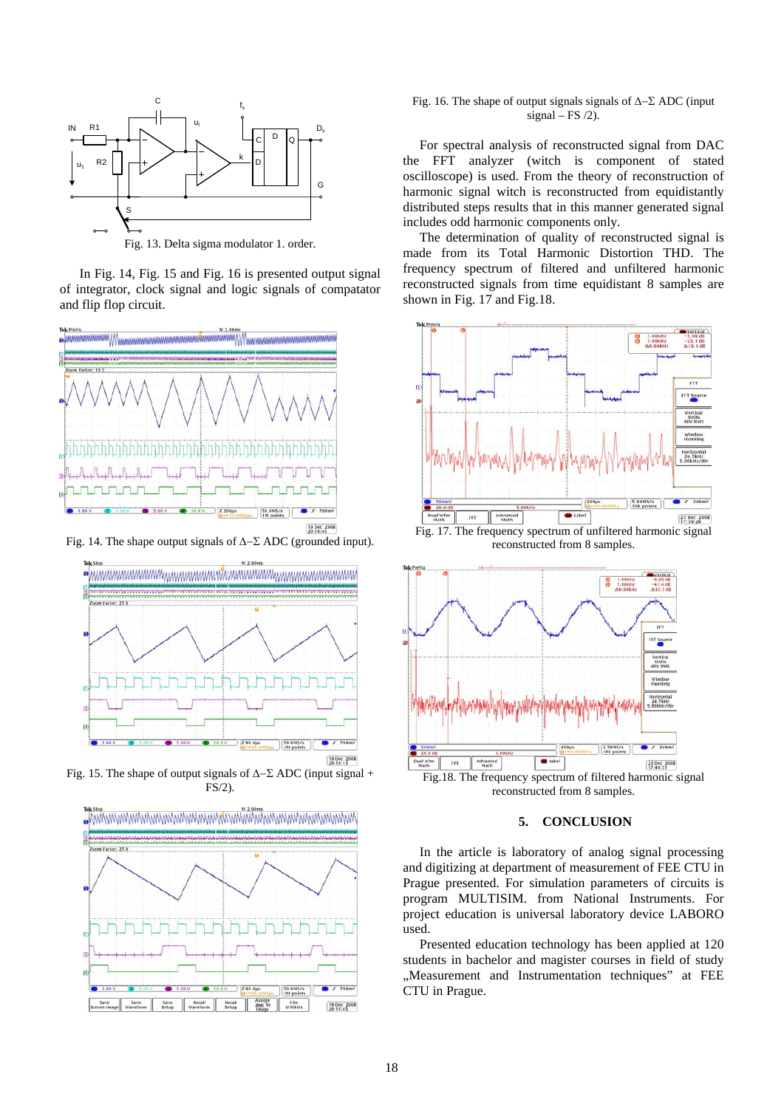

Fig. 13. Delta sigma modulator 1. order.

 In Fig. 14, Fig. 15 and Fig. 16 is presented output signal of integrator, clock signal and logic signals of compatator and flip flop circuit.



Fig. 14. The shape output signals of Δ−Σ ADC (grounded input).



Fig. 15. The shape of output signals of  $\Delta-\Sigma$  ADC (input signal + FS/2).



### Fig. 16. The shape of output signals signals of Δ−Σ ADC (input signal – FS  $/2$ ).

 For spectral analysis of reconstructed signal from DAC the FFT analyzer (witch is component of stated oscilloscope) is used. From the theory of reconstruction of harmonic signal witch is reconstructed from equidistantly distributed steps results that in this manner generated signal includes odd harmonic components only.

 The determination of quality of reconstructed signal is made from its Total Harmonic Distortion THD. The frequency spectrum of filtered and unfiltered harmonic reconstructed signals from time equidistant 8 samples are shown in Fig. 17 and Fig.18.



reconstructed from 8 samples.



Fig.18. The frequency spectrum of filtered harmonic signal reconstructed from 8 samples.

#### **5. CONCLUSION**

 In the article is laboratory of analog signal processing and digitizing at department of measurement of FEE CTU in Prague presented. For simulation parameters of circuits is program MULTISIM. from National Instruments. For project education is universal laboratory device LABORO used.

Presented education technology has been applied at 120 students in bachelor and magister courses in field of study "Measurement and Instrumentation techniques" at FEE CTU in Prague.